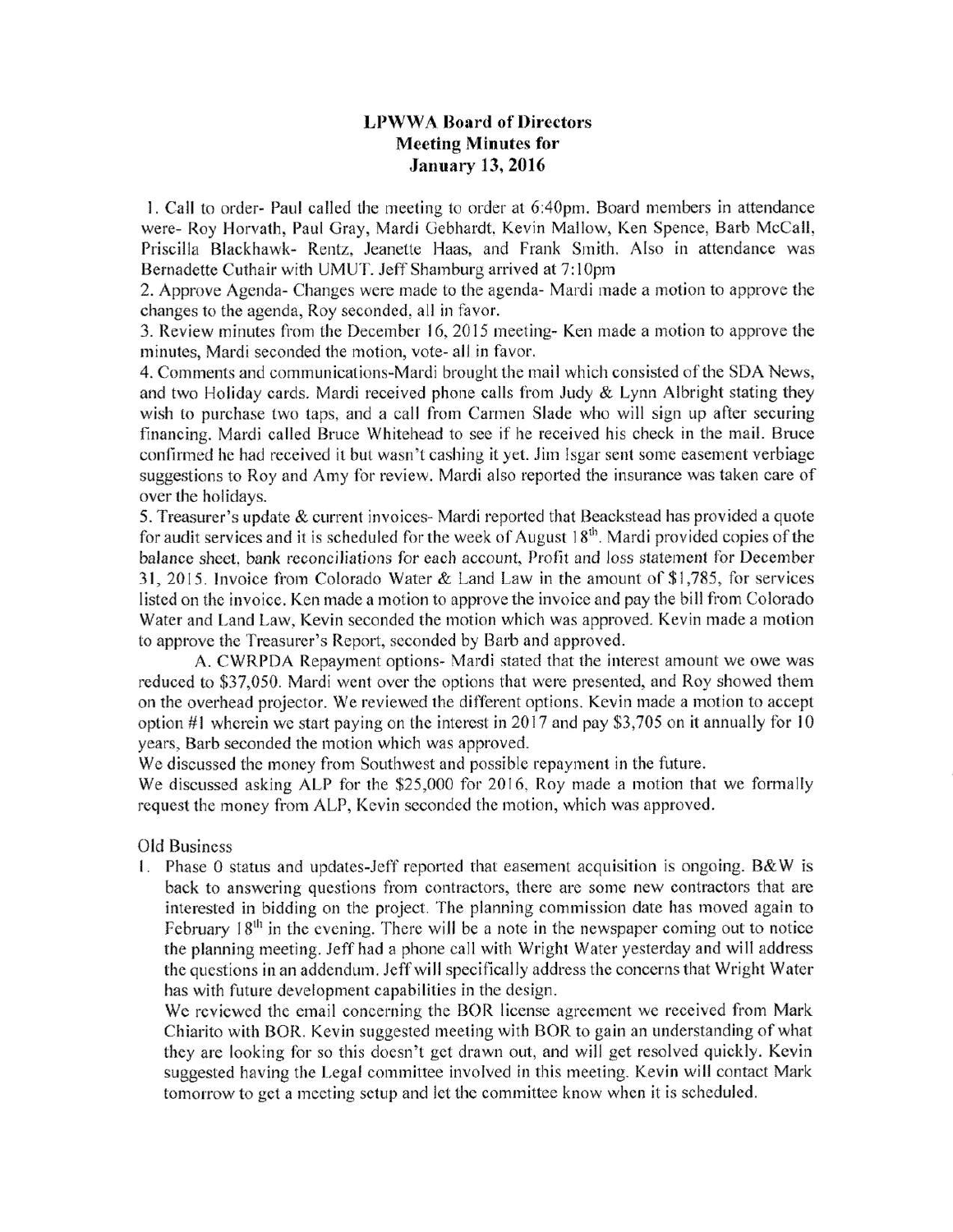## **LPWWA Board of Directors Meeting Minutes for January 13, 2016**

1. Call to order- Paul called the meeting to order at 6:40pm. Board members in attendance were- Roy Horvath, Paul Gray, Mardi Gebhardt, Kevin Mallow, Ken Spence, Barb McCall, Priscilla Blackhawk- Rentz. Jeanette Haas, and Frank Smith. Also in attendance was Bernadette Cuthair with UMUT. Jeff Shamburg arrived at 7:10pm

2. Approve Agenda- Changes were made to the agenda- Mardi made a motion to approve the changes to the agenda, Roy seconded, all in favor.

3. Review minutes from the December 16, 2015 meeting- Ken made a motion to approve the minutes, Mardi seconded the motion, vote- all in favor.

4. Comments and communications-Mardi brought the mail which consisted of the SDA News, and two Holiday cards. Mardi received phone calls from Judy  $\&$  Lynn Albright stating they wish to purchase two taps, and a call from Carmen Slade who will sign up after securing financing. Mardi called Bruce Whitehead to see if he received his check in the mail. Bruce confirmed he had received it but wasn't cashing it yet. Jim Isgar sent some easement verbiage suggestions to Roy and Amy for review. Mardi also reported the insurance was taken care of over the holidays.

5. Treasurer's update & current invoices- Mardi reported that Beackstead has provided a quote for audit services and it is scheduled for the week of August  $18<sup>th</sup>$ . Mardi provided copies of the balance sheet, bank reconciliations for each account, Profit and loss statement for December 31, 2015. Invoice from Colorado Water & Land Law in the amount of \$1,785, for services listed on the invoice. Ken made a motion to approve the invoice and pay the bill from Colorado Water and Land Law, Kevin seconded the motion which was approved. Kevin made a motion to approve the Treasurer's Report, seconded by Barb and approved.

A. CWRPDA Repayment options- Mardi stated that the interest amount we owe was reduced to \$37,050. Mardi went over the options that were presented, and Roy showed them on the overhead projector. We reviewed the different options. Kevin made a motion to accept option #1 wherein we start paying on the interest in 2017 and pay \$3,705 on it annually for 10 years. Barb seconded the motion which was approved.

We discussed the money from Southwest and possible repayment in the future.

We discussed asking ALP for the \$25,000 for 2016, Roy made a motion that we formally request the money from ALP, Kevin seconded the motion, which was approved.

Old Business

1. Phase 0 status and updates-Jeff reported that easement acquisition is ongoing. B&W is back to answering questions from contractors, there are some new contractors that are interested in bidding on the project. The planning commission date has moved again to February 18<sup>th</sup> in the evening. There will be a note in the newspaper coming out to notice the planning meeting. Jeff had a phone call with Wright Water yesterday and will address the questions in an addendum. Jeff will specifically address the concerns that Wright Water has with future development capabilities in the design.

We reviewed the email concerning the BOR license agreement we received from Mark Chiarito with BOR. Kevin suggested meeting with BOR to gain an understanding of what they are looking for so this doesn't get drawn out, and will get resolved quickly. Kevin suggested having the Legal committee involved in this meeting. Kevin will contact Mark tomorrow to get a meeting setup and let the committee know when it is scheduled.